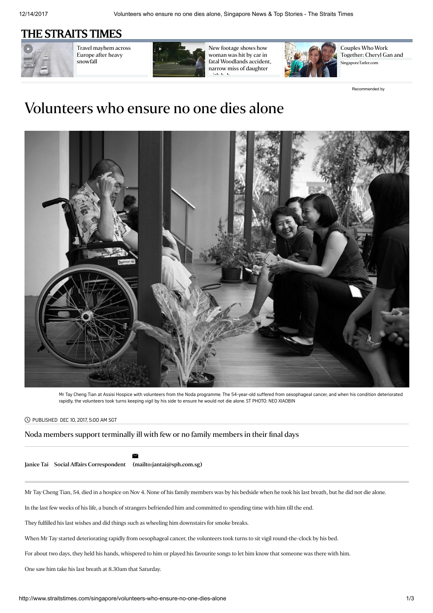## [THE STRAITS TIMES](http://www.straitstimes.com/)



Travel [mayhem](http://www.straitstimes.com/world/europe/travel-mayhem-across-europe-after-heavy-snowfall) across Europe after heavy snowfall



New footage shows how woman was hit by car in fatal [Woodlands](http://www.straitstimes.com/singapore/new-footage-shows-how-woman-was-hit-by-car-in-fatal-woodlands-accident-narrowly-missing) accident, narrow miss of daughter

 $\cdots$ 



Couples Who Work Together: Cheryl Gan and [SingaporeTatler.com](https://sg.asiatatler.com/life/power-couple-cheryl-gan-and-low-cheong-yew?utm_source=Outbrain&utm_medium=Discovery&utm_campaign=sgtatler-outbrain-campaign)

[Recommended by](http://www.outbrain.com/what-is/default/en)

## Volunteers who ensure no one dies alone



Mr Tay Cheng Tian at Assisi Hospice with volunteers from the Noda programme. The 54-year-old suffered from oesophageal cancer, and when his condition deteriorated rapidly, the volunteers took turns keeping vigil by his side to ensure he would not die alone. ST PHOTO: NEO XIAOBIN

## PUBLISHED DEC 10, 2017, 5:00 AM SGT

## Noda members support terminally ill with few or no family members in their final days

[Janice](http://www.straitstimes.com/authors/janice-tai) Tai Social Affairs Correspondent [\(mailto:jantai@sph.com.sg\)](mailto:jantai@sph.com.sg)  $\geq$ 

Mr Tay Cheng Tian, 54, died in a hospice on Nov 4. None of his family members was by his bedside when he took his last breath, but he did not die alone.

In the last few weeks of his life, a bunch of strangers befriended him and committed to spending time with him till the end.

They fulfilled his last wishes and did things such as wheeling him downstairs for smoke breaks.

When Mr Tay started deteriorating rapidly from oesophageal cancer, the volunteers took turns to sit vigil round-the-clock by his bed.

For about two days, they held his hands, whispered to him or played his favourite songs to let him know that someone was there with him.

One saw him take his last breath at 8.30am that Saturday.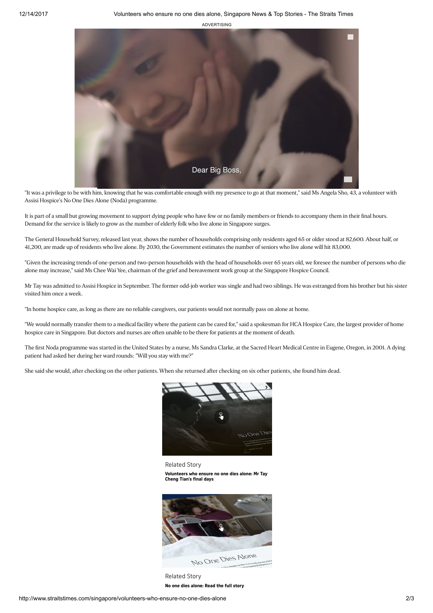ADVERTISING



"It was a privilege to be with him, knowing that he was comfortable enough with my presence to go at that moment," said Ms Angela Sho, 43, a volunteer with Assisi Hospice's No One Dies Alone (Noda) programme.

It is part of a small but growing movement to support dying people who have few or no family members or friends to accompany them in their final hours. Demand for the service is likely to grow as the number of elderly folk who live alone in Singapore surges.

The General Household Survey, released last year, shows the number of households comprising only residents aged 65 or older stood at 82,600. About half, or 41,200, are made up of residents who live alone. By 2030, the Government estimates the number of seniors who live alone will hit 83,000.

"Given the increasing trends of one-person and two-person households with the head of households over 65 years old, we foresee the number of persons who die alone may increase," said Ms Chee Wai Yee, chairman of the grief and bereavement work group at the Singapore Hospice Council.

Mr Tay was admitted to Assisi Hospice in September. The former odd-job worker was single and had two siblings. He was estranged from his brother but his sister visited him once a week.

"In home hospice care, as long as there are no reliable caregivers, our patients would not normally pass on alone at home.

"We would normally transfer them to a medical facility where the patient can be cared for," said a spokesman for HCA Hospice Care, the largest provider of home hospice care in Singapore. But doctors and nurses are often unable to be there for patients at the moment of death.

The first Noda programme was started in the United States by a nurse, Ms Sandra Clarke, at the Sacred Heart Medical Centre in Eugene, Oregon, in 2001. A dying patient had asked her during her ward rounds: "Will you stay with me?"

She said she would, after checking on the other patients. When she returned after checking on six other patients, she found him dead.



[Related](http://www.straitstimes.com/singapore/volunteers-who-ensure-no-one-dies-alone-the-story-of-mr-tay-cheng-tian) Story

[Volunteers](http://www.straitstimes.com/singapore/volunteers-who-ensure-no-one-dies-alone-the-story-of-mr-tay-cheng-tian) who ensure no one dies alone: Mr Tay Cheng Tian's final days



[Related](http://www.straitstimes.com/singapore/no-one-dies-alone-read-the-full-story-0) Story No one dies [alone:](http://www.straitstimes.com/singapore/no-one-dies-alone-read-the-full-story-0) Read the full story